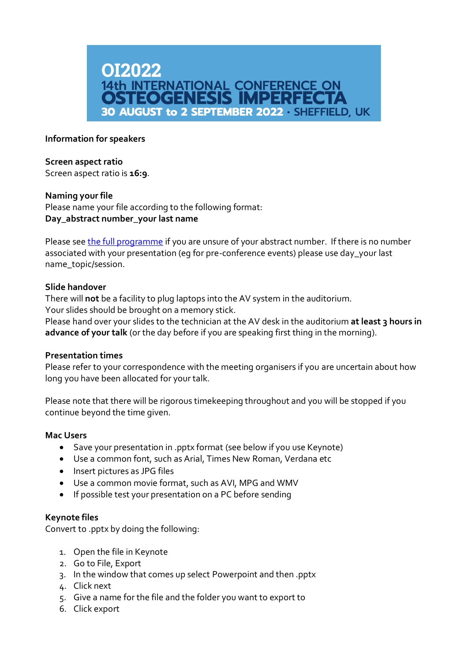

## **Information for speakers**

#### **Screen aspect ratio**

Screen aspect ratio is **16:9**.

### **Naming your file**

Please name your file according to the following format: **Day\_abstract number\_your last name**

Please se[e the full programme](https://oi2022.org/#scientific-programme) if you are unsure of your abstract number. If there is no number associated with your presentation (eg for pre-conference events) please use day\_your last name\_topic/session.

### **Slide handover**

There will **not** be a facility to plug laptops into the AV system in the auditorium. Your slides should be brought on a memory stick.

Please hand over your slides to the technician at the AV desk in the auditorium at least 3 hours in **advance of your talk** (or the day before if you are speaking first thing in the morning).

#### **Presentation times**

Please refer to your correspondence with the meeting organisers if you are uncertain about how long you have been allocated for your talk.

Please note that there will be rigorous timekeeping throughout and you will be stopped if you continue beyond the time given.

#### **Mac Users**

- Save your presentation in .pptx format (see below if you use Keynote)
- Use a common font, such as Arial, Times New Roman, Verdana etc
- Insert pictures as JPG files
- Use a common movie format, such as AVI, MPG and WMV
- If possible test your presentation on a PC before sending

## **Keynote files**

Convert to .pptx by doing the following:

- 1. Open the file in Keynote
- 2. Go to File, Export
- 3. In the window that comes up select Powerpoint and then .pptx
- 4. Click next
- 5. Give a name for the file and the folder you want to export to
- 6. Click export